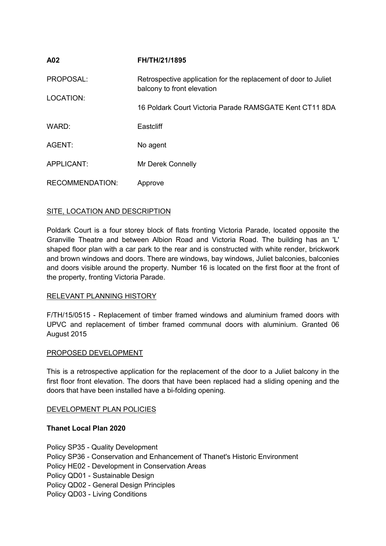| A02                    | FH/TH/21/1895                                                                                 |
|------------------------|-----------------------------------------------------------------------------------------------|
| PROPOSAL:              | Retrospective application for the replacement of door to Juliet<br>balcony to front elevation |
| LOCATION:              | 16 Poldark Court Victoria Parade RAMSGATE Kent CT11 8DA                                       |
| WARD:                  | Eastcliff                                                                                     |
| AGENT:                 | No agent                                                                                      |
| APPLICANT:             | Mr Derek Connelly                                                                             |
|                        |                                                                                               |
| <b>RECOMMENDATION:</b> | Approve                                                                                       |

# SITE, LOCATION AND DESCRIPTION

Poldark Court is a four storey block of flats fronting Victoria Parade, located opposite the Granville Theatre and between Albion Road and Victoria Road. The building has an 'L' shaped floor plan with a car park to the rear and is constructed with white render, brickwork and brown windows and doors. There are windows, bay windows, Juliet balconies, balconies and doors visible around the property. Number 16 is located on the first floor at the front of the property, fronting Victoria Parade.

# RELEVANT PLANNING HISTORY

F/TH/15/0515 - Replacement of timber framed windows and aluminium framed doors with UPVC and replacement of timber framed communal doors with aluminium. Granted 06 August 2015

## PROPOSED DEVELOPMENT

This is a retrospective application for the replacement of the door to a Juliet balcony in the first floor front elevation. The doors that have been replaced had a sliding opening and the doors that have been installed have a bi-folding opening.

#### DEVELOPMENT PLAN POLICIES

#### **Thanet Local Plan 2020**

- Policy SP35 Quality Development
- Policy SP36 Conservation and Enhancement of Thanet's Historic Environment
- Policy HE02 Development in Conservation Areas
- Policy QD01 Sustainable Design
- Policy QD02 General Design Principles
- Policy QD03 Living Conditions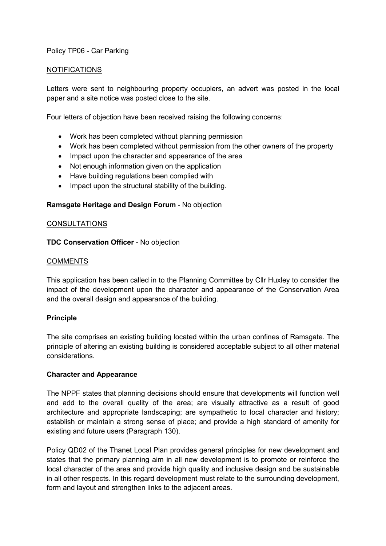## Policy TP06 - Car Parking

#### NOTIFICATIONS

Letters were sent to neighbouring property occupiers, an advert was posted in the local paper and a site notice was posted close to the site.

Four letters of objection have been received raising the following concerns:

- Work has been completed without planning permission
- Work has been completed without permission from the other owners of the property
- Impact upon the character and appearance of the area
- Not enough information given on the application
- Have building regulations been complied with
- Impact upon the structural stability of the building.

#### **Ramsgate Heritage and Design Forum** - No objection

#### **CONSULTATIONS**

## **TDC Conservation Officer** - No objection

#### **COMMENTS**

This application has been called in to the Planning Committee by Cllr Huxley to consider the impact of the development upon the character and appearance of the Conservation Area and the overall design and appearance of the building.

## **Principle**

The site comprises an existing building located within the urban confines of Ramsgate. The principle of altering an existing building is considered acceptable subject to all other material considerations.

#### **Character and Appearance**

The NPPF states that planning decisions should ensure that developments will function well and add to the overall quality of the area; are visually attractive as a result of good architecture and appropriate landscaping; are sympathetic to local character and history; establish or maintain a strong sense of place; and provide a high standard of amenity for existing and future users (Paragraph 130).

Policy QD02 of the Thanet Local Plan provides general principles for new development and states that the primary planning aim in all new development is to promote or reinforce the local character of the area and provide high quality and inclusive design and be sustainable in all other respects. In this regard development must relate to the surrounding development, form and layout and strengthen links to the adjacent areas.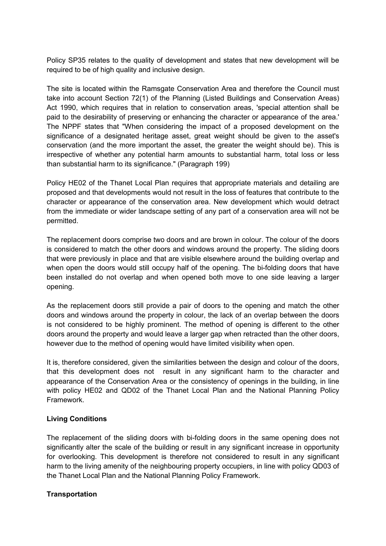Policy SP35 relates to the quality of development and states that new development will be required to be of high quality and inclusive design.

The site is located within the Ramsgate Conservation Area and therefore the Council must take into account Section 72(1) of the Planning (Listed Buildings and Conservation Areas) Act 1990, which requires that in relation to conservation areas, 'special attention shall be paid to the desirability of preserving or enhancing the character or appearance of the area.' The NPPF states that "When considering the impact of a proposed development on the significance of a designated heritage asset, great weight should be given to the asset's conservation (and the more important the asset, the greater the weight should be). This is irrespective of whether any potential harm amounts to substantial harm, total loss or less than substantial harm to its significance." (Paragraph 199)

Policy HE02 of the Thanet Local Plan requires that appropriate materials and detailing are proposed and that developments would not result in the loss of features that contribute to the character or appearance of the conservation area. New development which would detract from the immediate or wider landscape setting of any part of a conservation area will not be permitted.

The replacement doors comprise two doors and are brown in colour. The colour of the doors is considered to match the other doors and windows around the property. The sliding doors that were previously in place and that are visible elsewhere around the building overlap and when open the doors would still occupy half of the opening. The bi-folding doors that have been installed do not overlap and when opened both move to one side leaving a larger opening.

As the replacement doors still provide a pair of doors to the opening and match the other doors and windows around the property in colour, the lack of an overlap between the doors is not considered to be highly prominent. The method of opening is different to the other doors around the property and would leave a larger gap when retracted than the other doors, however due to the method of opening would have limited visibility when open.

It is, therefore considered, given the similarities between the design and colour of the doors, that this development does not result in any significant harm to the character and appearance of the Conservation Area or the consistency of openings in the building, in line with policy HE02 and QD02 of the Thanet Local Plan and the National Planning Policy Framework.

## **Living Conditions**

The replacement of the sliding doors with bi-folding doors in the same opening does not significantly alter the scale of the building or result in any significant increase in opportunity for overlooking. This development is therefore not considered to result in any significant harm to the living amenity of the neighbouring property occupiers, in line with policy QD03 of the Thanet Local Plan and the National Planning Policy Framework.

# **Transportation**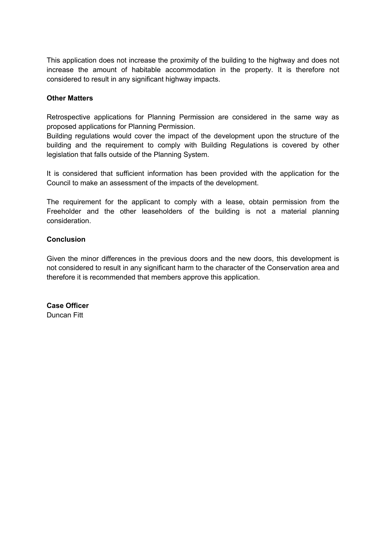This application does not increase the proximity of the building to the highway and does not increase the amount of habitable accommodation in the property. It is therefore not considered to result in any significant highway impacts.

## **Other Matters**

Retrospective applications for Planning Permission are considered in the same way as proposed applications for Planning Permission.

Building regulations would cover the impact of the development upon the structure of the building and the requirement to comply with Building Regulations is covered by other legislation that falls outside of the Planning System.

It is considered that sufficient information has been provided with the application for the Council to make an assessment of the impacts of the development.

The requirement for the applicant to comply with a lease, obtain permission from the Freeholder and the other leaseholders of the building is not a material planning consideration.

## **Conclusion**

Given the minor differences in the previous doors and the new doors, this development is not considered to result in any significant harm to the character of the Conservation area and therefore it is recommended that members approve this application.

**Case Officer** Duncan Fitt